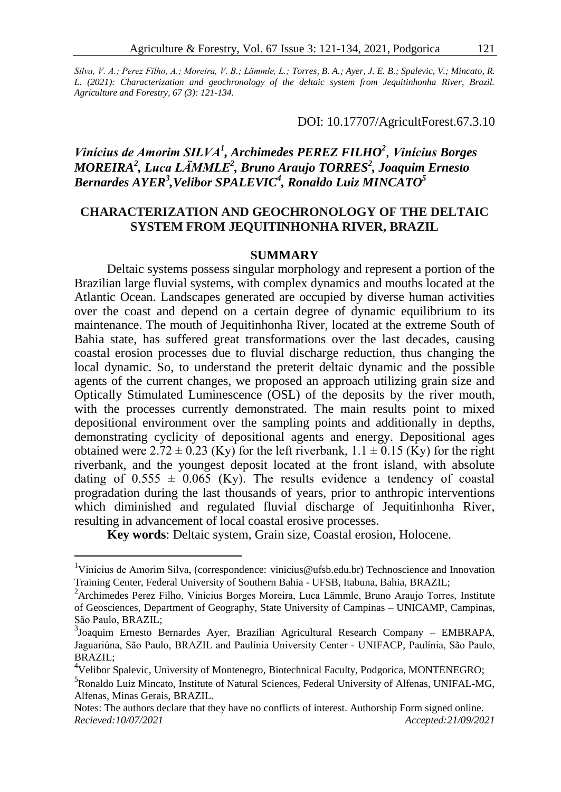*Silva, V. A.; Perez Filho, A.; Moreira, V. B.; Lämmle, L.; Torres, B. A.; Ayer, J. E. B.; Spalevic, V.; Mincato, R. L. (2021): Characterization and geochronology of the deltaic system from Jequitinhonha River, Brazil. Agriculture and Forestry, 67 (3): 121-134.*

DOI: 10.17707/AgricultForest.67.3.10

# *Vinícius de Amorim SILVA<sup>1</sup> , Archimedes PEREZ FILHO<sup>2</sup>* , *Vinícius Borges MOREIRA<sup>2</sup> , Luca LÄMMLE<sup>2</sup> , Bruno Araujo TORRES<sup>2</sup> , Joaquim Ernesto*  $\bm{Bern }$ ardes AYE $\bm{R}^3$ ,Velibor SPALEVIC<sup>4</sup>, Ronaldo Luiz MINCATO<sup>5</sup>

## **CHARACTERIZATION AND GEOCHRONOLOGY OF THE DELTAIC SYSTEM FROM JEQUITINHONHA RIVER, BRAZIL**

#### **SUMMARY**

Deltaic systems possess singular morphology and represent a portion of the Brazilian large fluvial systems, with complex dynamics and mouths located at the Atlantic Ocean. Landscapes generated are occupied by diverse human activities over the coast and depend on a certain degree of dynamic equilibrium to its maintenance. The mouth of Jequitinhonha River, located at the extreme South of Bahia state, has suffered great transformations over the last decades, causing coastal erosion processes due to fluvial discharge reduction, thus changing the local dynamic. So, to understand the preterit deltaic dynamic and the possible agents of the current changes, we proposed an approach utilizing grain size and Optically Stimulated Luminescence (OSL) of the deposits by the river mouth, with the processes currently demonstrated. The main results point to mixed depositional environment over the sampling points and additionally in depths, demonstrating cyclicity of depositional agents and energy. Depositional ages obtained were  $2.72 \pm 0.23$  (Ky) for the left riverbank,  $1.1 \pm 0.15$  (Ky) for the right riverbank, and the youngest deposit located at the front island, with absolute dating of  $0.555 \pm 0.065$  (Ky). The results evidence a tendency of coastal progradation during the last thousands of years, prior to anthropic interventions which diminished and regulated fluvial discharge of Jequitinhonha River, resulting in advancement of local coastal erosive processes.

**Key words**: Deltaic system, Grain size, Coastal erosion, Holocene.

 $\overline{a}$ 

<sup>4</sup>Velibor Spalevic, University of Montenegro, Biotechnical Faculty, Podgorica, MONTENEGRO;

<sup>&</sup>lt;sup>1</sup>Vinícius de Amorim Silva, (correspondence: vinicius@ufsb.edu.br) Technoscience and Innovation Training Center, Federal University of Southern Bahia - UFSB, Itabuna, Bahia, BRAZIL;

<sup>&</sup>lt;sup>2</sup> Archimedes Perez Filho, Vinícius Borges Moreira, Luca Lämmle, Bruno Araujo Torres, Institute of Geosciences, Department of Geography, State University of Campinas – UNICAMP, Campinas, São Paulo, BRAZIL;

<sup>3</sup> Joaquim Ernesto Bernardes Ayer, Brazilian Agricultural Research Company – EMBRAPA, Jaguariúna, São Paulo, BRAZIL and Paulínia University Center - UNIFACP, Paulínia, São Paulo, BRAZIL;

<sup>5</sup> Ronaldo Luiz Mincato, Institute of Natural Sciences, Federal University of Alfenas, UNIFAL-MG, Alfenas, Minas Gerais, BRAZIL.

Notes: The authors declare that they have no conflicts of interest. Authorship Form signed online. *Recieved:10/07/2021 Accepted:21/09/2021*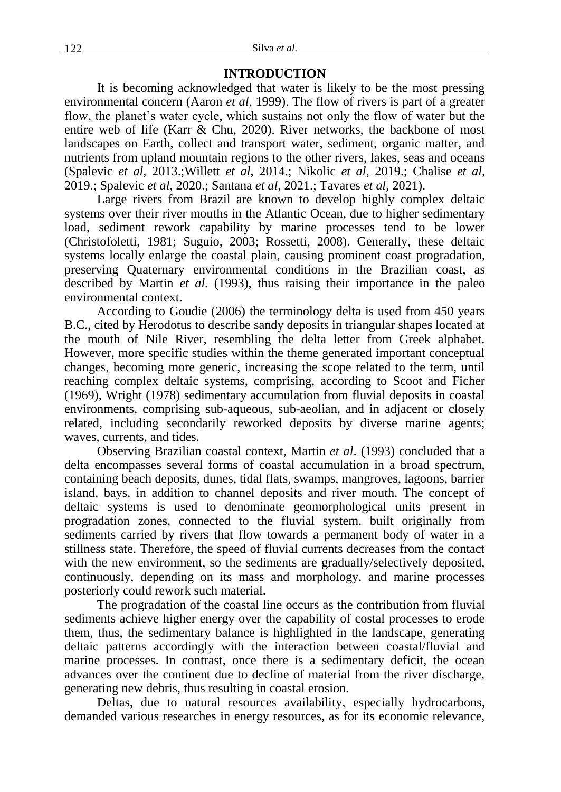#### **INTRODUCTION**

It is becoming acknowledged that water is likely to be the most pressing environmental concern (Aaron *et al*, 1999). The flow of rivers is part of a greater flow, the planet's water cycle, which sustains not only the flow of water but the entire web of life (Karr & Chu, 2020). River networks, the backbone of most landscapes on Earth, collect and transport water, sediment, organic matter, and nutrients from upland mountain regions to the other rivers, lakes, seas and oceans (Spalevic *et al*, 2013.;Willett *et al*, 2014.; Nikolic *et al*, 2019.; Chalise *et al*, 2019.; Spalevic *et al*, 2020.; Santana *et al*, 2021.; Tavares *et al*, 2021).

Large rivers from Brazil are known to develop highly complex deltaic systems over their river mouths in the Atlantic Ocean, due to higher sedimentary load, sediment rework capability by marine processes tend to be lower (Christofoletti, 1981; Suguio, 2003; Rossetti, 2008). Generally, these deltaic systems locally enlarge the coastal plain, causing prominent coast progradation, preserving Quaternary environmental conditions in the Brazilian coast, as described by Martin *et al*. (1993), thus raising their importance in the paleo environmental context.

According to Goudie (2006) the terminology delta is used from 450 years B.C., cited by Herodotus to describe sandy deposits in triangular shapes located at the mouth of Nile River, resembling the delta letter from Greek alphabet. However, more specific studies within the theme generated important conceptual changes, becoming more generic, increasing the scope related to the term, until reaching complex deltaic systems, comprising, according to Scoot and Ficher (1969), Wright (1978) sedimentary accumulation from fluvial deposits in coastal environments, comprising sub-aqueous, sub-aeolian, and in adjacent or closely related, including secondarily reworked deposits by diverse marine agents; waves, currents, and tides.

Observing Brazilian coastal context, Martin *et al*. (1993) concluded that a delta encompasses several forms of coastal accumulation in a broad spectrum, containing beach deposits, dunes, tidal flats, swamps, mangroves, lagoons, barrier island, bays, in addition to channel deposits and river mouth. The concept of deltaic systems is used to denominate geomorphological units present in progradation zones, connected to the fluvial system, built originally from sediments carried by rivers that flow towards a permanent body of water in a stillness state. Therefore, the speed of fluvial currents decreases from the contact with the new environment, so the sediments are gradually/selectively deposited, continuously, depending on its mass and morphology, and marine processes posteriorly could rework such material.

The progradation of the coastal line occurs as the contribution from fluvial sediments achieve higher energy over the capability of costal processes to erode them, thus, the sedimentary balance is highlighted in the landscape, generating deltaic patterns accordingly with the interaction between coastal/fluvial and marine processes. In contrast, once there is a sedimentary deficit, the ocean advances over the continent due to decline of material from the river discharge, generating new debris, thus resulting in coastal erosion.

Deltas, due to natural resources availability, especially hydrocarbons, demanded various researches in energy resources, as for its economic relevance,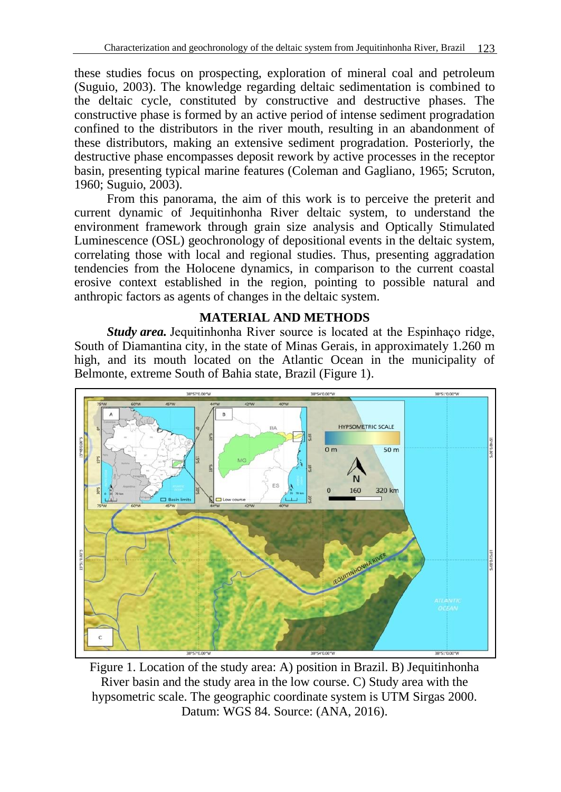these studies focus on prospecting, exploration of mineral coal and petroleum (Suguio, 2003). The knowledge regarding deltaic sedimentation is combined to the deltaic cycle, constituted by constructive and destructive phases. The constructive phase is formed by an active period of intense sediment progradation confined to the distributors in the river mouth, resulting in an abandonment of these distributors, making an extensive sediment progradation. Posteriorly, the destructive phase encompasses deposit rework by active processes in the receptor basin, presenting typical marine features (Coleman and Gagliano, 1965; Scruton, 1960; Suguio, 2003).

From this panorama, the aim of this work is to perceive the preterit and current dynamic of Jequitinhonha River deltaic system, to understand the environment framework through grain size analysis and Optically Stimulated Luminescence (OSL) geochronology of depositional events in the deltaic system, correlating those with local and regional studies. Thus, presenting aggradation tendencies from the Holocene dynamics, in comparison to the current coastal erosive context established in the region, pointing to possible natural and anthropic factors as agents of changes in the deltaic system.

## **MATERIAL AND METHODS**

*Study area.* Jequitinhonha River source is located at the Espinhaco ridge, South of Diamantina city, in the state of Minas Gerais, in approximately 1.260 m high, and its mouth located on the Atlantic Ocean in the municipality of Belmonte, extreme South of Bahia state, Brazil (Figure 1).



Figure 1. Location of the study area: A) position in Brazil. B) Jequitinhonha River basin and the study area in the low course. C) Study area with the hypsometric scale. The geographic coordinate system is UTM Sirgas 2000. Datum: WGS 84. Source: (ANA, 2016).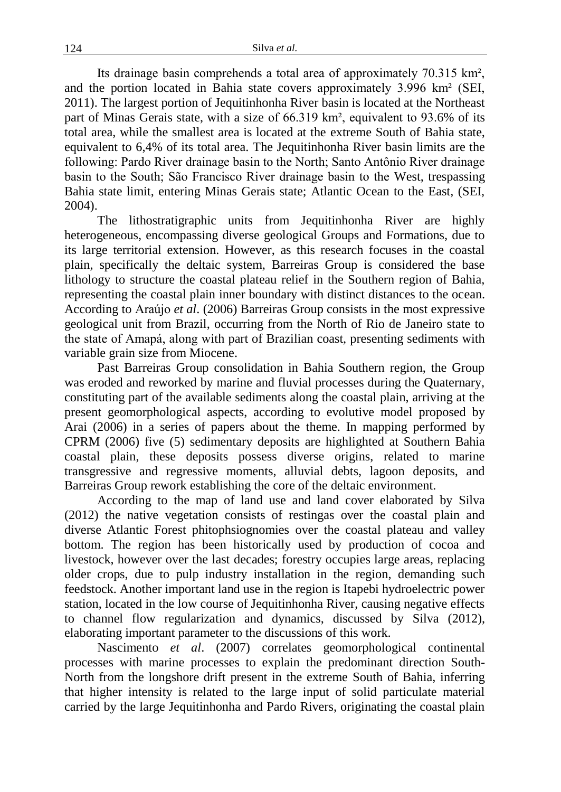Its drainage basin comprehends a total area of approximately 70.315 km², and the portion located in Bahia state covers approximately 3.996 km² (SEI, 2011). The largest portion of Jequitinhonha River basin is located at the Northeast part of Minas Gerais state, with a size of 66.319 km², equivalent to 93.6% of its total area, while the smallest area is located at the extreme South of Bahia state, equivalent to 6,4% of its total area. The Jequitinhonha River basin limits are the following: Pardo River drainage basin to the North; Santo Antônio River drainage basin to the South; São Francisco River drainage basin to the West, trespassing Bahia state limit, entering Minas Gerais state; Atlantic Ocean to the East, (SEI, 2004).

The lithostratigraphic units from Jequitinhonha River are highly heterogeneous, encompassing diverse geological Groups and Formations, due to its large territorial extension. However, as this research focuses in the coastal plain, specifically the deltaic system, Barreiras Group is considered the base lithology to structure the coastal plateau relief in the Southern region of Bahia, representing the coastal plain inner boundary with distinct distances to the ocean. According to Araújo *et al*. (2006) Barreiras Group consists in the most expressive geological unit from Brazil, occurring from the North of Rio de Janeiro state to the state of Amapá, along with part of Brazilian coast, presenting sediments with variable grain size from Miocene.

Past Barreiras Group consolidation in Bahia Southern region, the Group was eroded and reworked by marine and fluvial processes during the Quaternary, constituting part of the available sediments along the coastal plain, arriving at the present geomorphological aspects, according to evolutive model proposed by Arai (2006) in a series of papers about the theme. In mapping performed by CPRM (2006) five (5) sedimentary deposits are highlighted at Southern Bahia coastal plain, these deposits possess diverse origins, related to marine transgressive and regressive moments, alluvial debts, lagoon deposits, and Barreiras Group rework establishing the core of the deltaic environment.

According to the map of land use and land cover elaborated by Silva (2012) the native vegetation consists of restingas over the coastal plain and diverse Atlantic Forest phitophsiognomies over the coastal plateau and valley bottom. The region has been historically used by production of cocoa and livestock, however over the last decades; forestry occupies large areas, replacing older crops, due to pulp industry installation in the region, demanding such feedstock. Another important land use in the region is Itapebi hydroelectric power station, located in the low course of Jequitinhonha River, causing negative effects to channel flow regularization and dynamics, discussed by Silva (2012), elaborating important parameter to the discussions of this work.

Nascimento *et al*. (2007) correlates geomorphological continental processes with marine processes to explain the predominant direction South-North from the longshore drift present in the extreme South of Bahia, inferring that higher intensity is related to the large input of solid particulate material carried by the large Jequitinhonha and Pardo Rivers, originating the coastal plain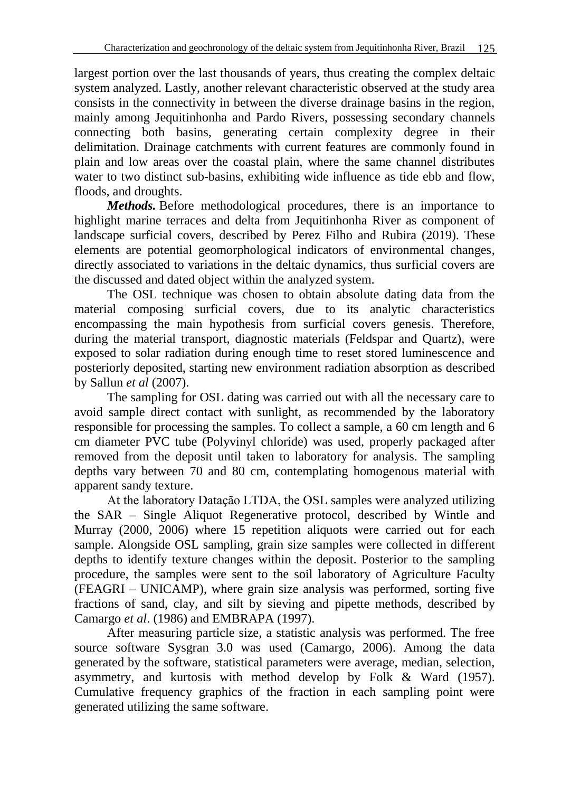largest portion over the last thousands of years, thus creating the complex deltaic system analyzed. Lastly, another relevant characteristic observed at the study area consists in the connectivity in between the diverse drainage basins in the region, mainly among Jequitinhonha and Pardo Rivers, possessing secondary channels connecting both basins, generating certain complexity degree in their delimitation. Drainage catchments with current features are commonly found in plain and low areas over the coastal plain, where the same channel distributes water to two distinct sub-basins, exhibiting wide influence as tide ebb and flow, floods, and droughts.

*Methods.* Before methodological procedures, there is an importance to highlight marine terraces and delta from Jequitinhonha River as component of landscape surficial covers, described by Perez Filho and Rubira (2019). These elements are potential geomorphological indicators of environmental changes, directly associated to variations in the deltaic dynamics, thus surficial covers are the discussed and dated object within the analyzed system.

The OSL technique was chosen to obtain absolute dating data from the material composing surficial covers, due to its analytic characteristics encompassing the main hypothesis from surficial covers genesis. Therefore, during the material transport, diagnostic materials (Feldspar and Quartz), were exposed to solar radiation during enough time to reset stored luminescence and posteriorly deposited, starting new environment radiation absorption as described by Sallun *et al* (2007).

The sampling for OSL dating was carried out with all the necessary care to avoid sample direct contact with sunlight, as recommended by the laboratory responsible for processing the samples. To collect a sample, a 60 cm length and 6 cm diameter PVC tube (Polyvinyl chloride) was used, properly packaged after removed from the deposit until taken to laboratory for analysis. The sampling depths vary between 70 and 80 cm, contemplating homogenous material with apparent sandy texture.

At the laboratory Datação LTDA, the OSL samples were analyzed utilizing the SAR – Single Aliquot Regenerative protocol, described by Wintle and Murray (2000, 2006) where 15 repetition aliquots were carried out for each sample. Alongside OSL sampling, grain size samples were collected in different depths to identify texture changes within the deposit. Posterior to the sampling procedure, the samples were sent to the soil laboratory of Agriculture Faculty (FEAGRI – UNICAMP), where grain size analysis was performed, sorting five fractions of sand, clay, and silt by sieving and pipette methods, described by Camargo *et al*. (1986) and EMBRAPA (1997).

After measuring particle size, a statistic analysis was performed. The free source software Sysgran 3.0 was used (Camargo, 2006). Among the data generated by the software, statistical parameters were average, median, selection, asymmetry, and kurtosis with method develop by Folk & Ward (1957). Cumulative frequency graphics of the fraction in each sampling point were generated utilizing the same software.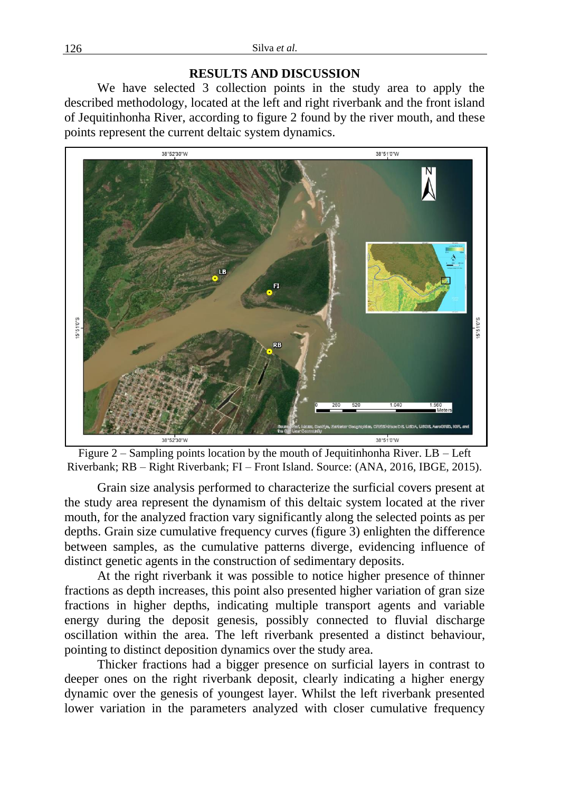### **RESULTS AND DISCUSSION**

We have selected 3 collection points in the study area to apply the described methodology, located at the left and right riverbank and the front island of Jequitinhonha River, according to figure 2 found by the river mouth, and these points represent the current deltaic system dynamics.



Figure 2 – Sampling points location by the mouth of Jequitinhonha River. LB – Left Riverbank; RB – Right Riverbank; FI – Front Island. Source: (ANA, 2016, IBGE, 2015).

Grain size analysis performed to characterize the surficial covers present at the study area represent the dynamism of this deltaic system located at the river mouth, for the analyzed fraction vary significantly along the selected points as per depths. Grain size cumulative frequency curves (figure 3) enlighten the difference between samples, as the cumulative patterns diverge, evidencing influence of distinct genetic agents in the construction of sedimentary deposits.

At the right riverbank it was possible to notice higher presence of thinner fractions as depth increases, this point also presented higher variation of gran size fractions in higher depths, indicating multiple transport agents and variable energy during the deposit genesis, possibly connected to fluvial discharge oscillation within the area. The left riverbank presented a distinct behaviour, pointing to distinct deposition dynamics over the study area.

Thicker fractions had a bigger presence on surficial layers in contrast to deeper ones on the right riverbank deposit, clearly indicating a higher energy dynamic over the genesis of youngest layer. Whilst the left riverbank presented lower variation in the parameters analyzed with closer cumulative frequency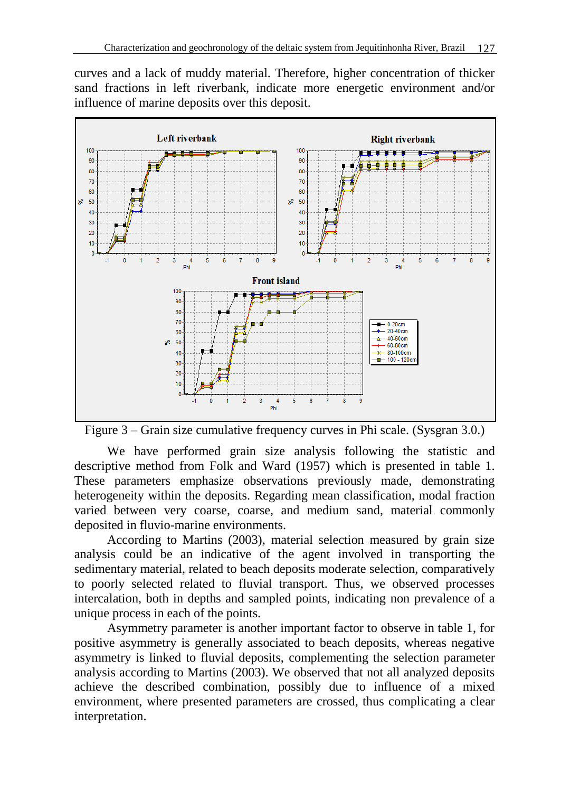curves and a lack of muddy material. Therefore, higher concentration of thicker sand fractions in left riverbank, indicate more energetic environment and/or influence of marine deposits over this deposit.



Figure 3 – Grain size cumulative frequency curves in Phi scale. (Sysgran 3.0.)

We have performed grain size analysis following the statistic and descriptive method from Folk and Ward (1957) which is presented in table 1. These parameters emphasize observations previously made, demonstrating heterogeneity within the deposits. Regarding mean classification, modal fraction varied between very coarse, coarse, and medium sand, material commonly deposited in fluvio-marine environments.

According to Martins (2003), material selection measured by grain size analysis could be an indicative of the agent involved in transporting the sedimentary material, related to beach deposits moderate selection, comparatively to poorly selected related to fluvial transport. Thus, we observed processes intercalation, both in depths and sampled points, indicating non prevalence of a unique process in each of the points.

Asymmetry parameter is another important factor to observe in table 1, for positive asymmetry is generally associated to beach deposits, whereas negative asymmetry is linked to fluvial deposits, complementing the selection parameter analysis according to Martins (2003). We observed that not all analyzed deposits achieve the described combination, possibly due to influence of a mixed environment, where presented parameters are crossed, thus complicating a clear interpretation.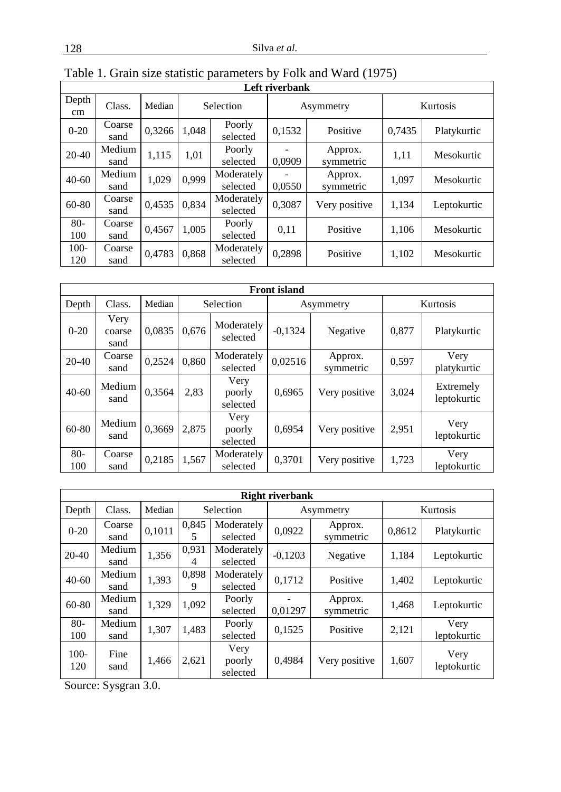| Left riverbank |                |        |       |                        |                  |                      |          |             |  |  |
|----------------|----------------|--------|-------|------------------------|------------------|----------------------|----------|-------------|--|--|
| Depth<br>cm    | Class.         | Median |       | Selection              |                  | Asymmetry            | Kurtosis |             |  |  |
| $0 - 20$       | Coarse<br>sand | 0,3266 | 1,048 | Poorly<br>selected     | 0,1532           | Positive             | 0,7435   | Platykurtic |  |  |
| $20-40$        | Medium<br>sand | 1,115  | 1,01  | Poorly<br>selected     | 0.0909           | Approx.<br>symmetric | 1,11     | Mesokurtic  |  |  |
| $40 - 60$      | Medium<br>sand | 1.029  | 0.999 | Moderately<br>selected | 0.0550           | Approx.<br>symmetric | 1,097    | Mesokurtic  |  |  |
| 60-80          | Coarse<br>sand | 0,4535 | 0.834 | Moderately<br>selected | 0.3087           | Very positive        | 1,134    | Leptokurtic |  |  |
| $80 -$<br>100  | Coarse<br>sand | 0.4567 | 1.005 | Poorly<br>selected     | Positive<br>0,11 |                      | 1,106    | Mesokurtic  |  |  |
| $100 -$<br>120 | Coarse<br>sand | 0,4783 | 0.868 | Moderately<br>selected | 0,2898           | Positive             | 1,102    | Mesokurtic  |  |  |

| <b>Front</b> island |                        |        |       |                            |           |                        |          |                          |  |  |  |
|---------------------|------------------------|--------|-------|----------------------------|-----------|------------------------|----------|--------------------------|--|--|--|
| Depth               | Class.                 | Median |       | Selection                  |           | Asymmetry              | Kurtosis |                          |  |  |  |
| $0 - 20$            | Very<br>coarse<br>sand | 0.0835 | 0.676 | Moderately<br>selected     | $-0,1324$ | Negative               | 0.877    | Platykurtic              |  |  |  |
| 20-40               | Coarse<br>sand         | 0,2524 | 0.860 | Moderately<br>selected     | 0,02516   | Approx.<br>symmetric   | 0,597    | Very<br>platykurtic      |  |  |  |
| $40 - 60$           | Medium<br>sand         | 0,3564 | 2,83  | Very<br>poorly<br>selected | 0,6965    | Very positive          | 3,024    | Extremely<br>leptokurtic |  |  |  |
| 60-80               | Medium<br>sand         | 0,3669 | 2,875 | Very<br>poorly<br>selected | 0,6954    | Very positive          | 2,951    | Very<br>leptokurtic      |  |  |  |
| $80-$<br>100        | Coarse<br>sand         | 0,2185 | 1,567 | Moderately<br>selected     | 0,3701    | 1,723<br>Very positive |          | Very<br>leptokurtic      |  |  |  |

| <b>Right riverbank</b> |                |        |                                                            |                            |                    |                      |             |                     |  |  |  |
|------------------------|----------------|--------|------------------------------------------------------------|----------------------------|--------------------|----------------------|-------------|---------------------|--|--|--|
| Depth                  | Class.         | Median |                                                            | Selection                  |                    | Asymmetry            | Kurtosis    |                     |  |  |  |
| $0 - 20$               | Coarse<br>sand | 0,1011 | 0,845<br>Moderately<br>selected<br>5                       |                            | 0,0922             | Approx.<br>symmetric | 0,8612      | Platykurtic         |  |  |  |
| $20 - 40$              | Medium<br>sand | 1,356  | 0.931<br>4                                                 | Moderately<br>selected     | $-0,1203$          | Negative             | 1,184       | Leptokurtic         |  |  |  |
| $40 - 60$              | Medium<br>sand | 1,393  | 0.898<br>Moderately<br>0,1712<br>Positive<br>selected<br>9 |                            |                    | 1,402                | Leptokurtic |                     |  |  |  |
| 60-80                  | Medium<br>sand | 1,329  | 1,092                                                      | Poorly<br>selected         | 0,01297            | Approx.<br>symmetric | 1,468       | Leptokurtic         |  |  |  |
| $80 -$<br>100          | Medium<br>sand | 1,307  | 1.483                                                      | Poorly<br>selected         | 0,1525<br>Positive |                      | 2,121       | Very<br>leptokurtic |  |  |  |
| $100 -$<br>120         | Fine<br>sand   | 1,466  | 2,621                                                      | Very<br>poorly<br>selected | 0,4984             | Very positive        | 1,607       | Very<br>leptokurtic |  |  |  |

Source: Sysgran 3.0.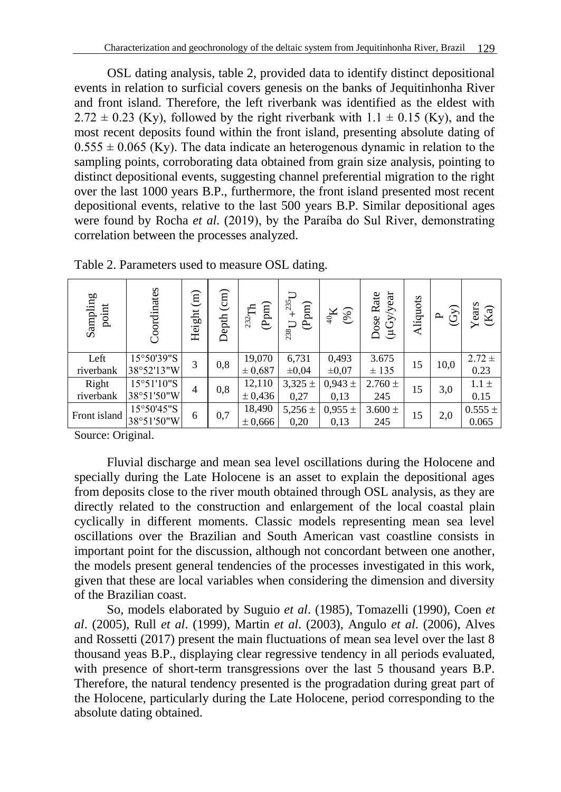OSL dating analysis, table 2, provided data to identify distinct depositional events in relation to surficial covers genesis on the banks of Jequitinhonha River and front island. Therefore, the left riverbank was identified as the eldest with  $2.72 \pm 0.23$  (Ky), followed by the right riverbank with  $1.1 \pm 0.15$  (Ky), and the most recent deposits found within the front island, presenting absolute dating of  $0.555 \pm 0.065$  (Ky). The data indicate an heterogenous dynamic in relation to the sampling points, corroborating data obtained from grain size analysis, pointing to distinct depositional events, suggesting channel preferential migration to the right over the last 1000 years B.P., furthermore, the front island presented most recent depositional events, relative to the last 500 years B.P. Similar depositional ages were found by Rocha *et al*. (2019), by the Paraíba do Sul River, demonstrating correlation between the processes analyzed.

| Sampling<br>point  | Coordinates                        | $\widehat{\Xi}$<br>Height | $\binom{cm}{}$<br>Depth | $(\mathrm{Ppm})$<br>$^{232}\!{\rm Th}$ | $+^{235}$ U<br>(Ppm)<br>238 <sub>I</sub> | (%)<br>$\mathrm{X}_\mathrm{0}$ | $(\mu Gy/year$<br>Rate<br>Dose | Alíquots | $\widehat{G}$<br>௨ | $Years$<br>$(Ka)$    |
|--------------------|------------------------------------|---------------------------|-------------------------|----------------------------------------|------------------------------------------|--------------------------------|--------------------------------|----------|--------------------|----------------------|
| Left<br>riverbank  | 15°50'39"S<br>38°52'13"W           | 3                         | 0,8                     | 19,070<br>$\pm 0,687$                  | 6,731<br>$\pm 0.04$                      | 0,493<br>$\pm 0.07$            | 3.675<br>± 135                 | 15       | 10,0               | $2.72 \pm$<br>0.23   |
| Right<br>riverbank | $15^{\circ}51'10''S$<br>38°51'50"W | $\overline{4}$            | 0,8                     | 12,110<br>± 0,436                      | $3,325 \pm$<br>0,27                      | $0,943 \pm$<br>0.13            | $2.760 \pm$<br>245             | 15       | 3,0                | $1.1 \pm$<br>0.15    |
| Front island       | 15°50'45"S<br>38°51'50"W           | 6                         | 0,7                     | 18,490<br>± 0,666                      | 5,256 $\pm$<br>0,20                      | $0.955 \pm$<br>0,13            | $3.600 \pm$<br>245             | 15       | 2,0                | $0.555 \pm$<br>0.065 |

Table 2. Parameters used to measure OSL dating.

Source: Original.

Fluvial discharge and mean sea level oscillations during the Holocene and specially during the Late Holocene is an asset to explain the depositional ages from deposits close to the river mouth obtained through OSL analysis, as they are directly related to the construction and enlargement of the local coastal plain cyclically in different moments. Classic models representing mean sea level oscillations over the Brazilian and South American vast coastline consists in important point for the discussion, although not concordant between one another, the models present general tendencies of the processes investigated in this work, given that these are local variables when considering the dimension and diversity of the Brazilian coast. absolute dating Coordinates Height (E)<br>External absolute data of the same of the Brazilian Coordinates First<br>Front island  $\frac{15^{\circ}50^{\prime}45^{\prime\prime}}{38^{\circ}51^{\prime}50^{\prime\prime}}$  of Source: Original.<br>Fluvial discharge aspecially du

So, models elaborated by Suguio *et al*. (1985), Tomazelli (1990), Coen *et al*. (2005), Rull *et al*. (1999), Martin *et al*. (2003), Angulo *et al*. (2006), Alves and Rossetti (2017) present the main fluctuations of mean sea level over the last 8 thousand yeas B.P., displaying clear regressive tendency in all periods evaluated, with presence of short-term transgressions over the last 5 thousand years B.P. Therefore, the natural tendency presented is the progradation during great part of the Holocene, particularly during the Late Holocene, period corresponding to the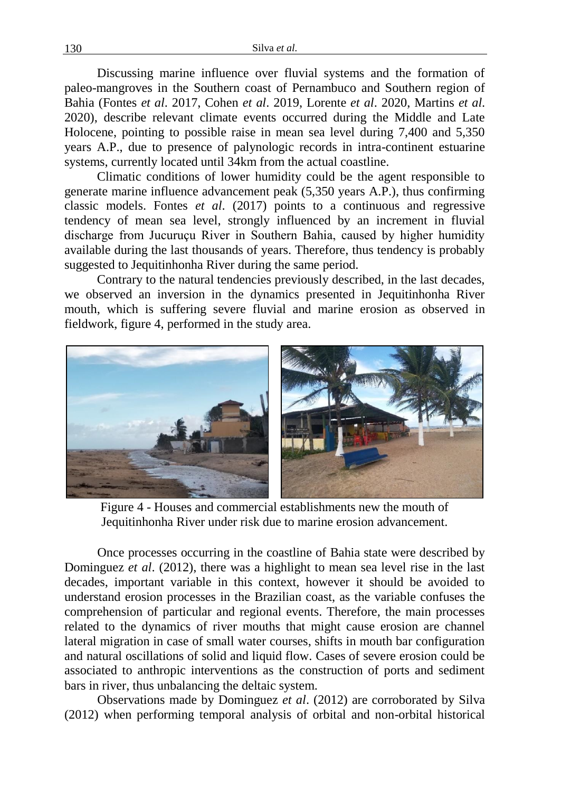Discussing marine influence over fluvial systems and the formation of paleo-mangroves in the Southern coast of Pernambuco and Southern region of Bahia (Fontes *et al*. 2017, Cohen *et al*. 2019, Lorente *et al*. 2020, Martins *et al*. 2020), describe relevant climate events occurred during the Middle and Late Holocene, pointing to possible raise in mean sea level during 7,400 and 5,350 years A.P., due to presence of palynologic records in intra-continent estuarine systems, currently located until 34km from the actual coastline.

Climatic conditions of lower humidity could be the agent responsible to generate marine influence advancement peak (5,350 years A.P.), thus confirming classic models. Fontes *et al*. (2017) points to a continuous and regressive tendency of mean sea level, strongly influenced by an increment in fluvial discharge from Jucuruçu River in Southern Bahia, caused by higher humidity available during the last thousands of years. Therefore, thus tendency is probably suggested to Jequitinhonha River during the same period.

Contrary to the natural tendencies previously described, in the last decades, we observed an inversion in the dynamics presented in Jequitinhonha River mouth, which is suffering severe fluvial and marine erosion as observed in fieldwork, figure 4, performed in the study area.



Figure 4 - Houses and commercial establishments new the mouth of Jequitinhonha River under risk due to marine erosion advancement.

Once processes occurring in the coastline of Bahia state were described by Dominguez *et al*. (2012), there was a highlight to mean sea level rise in the last decades, important variable in this context, however it should be avoided to understand erosion processes in the Brazilian coast, as the variable confuses the comprehension of particular and regional events. Therefore, the main processes related to the dynamics of river mouths that might cause erosion are channel lateral migration in case of small water courses, shifts in mouth bar configuration and natural oscillations of solid and liquid flow. Cases of severe erosion could be associated to anthropic interventions as the construction of ports and sediment bars in river, thus unbalancing the deltaic system.

Observations made by Dominguez *et al*. (2012) are corroborated by Silva (2012) when performing temporal analysis of orbital and non-orbital historical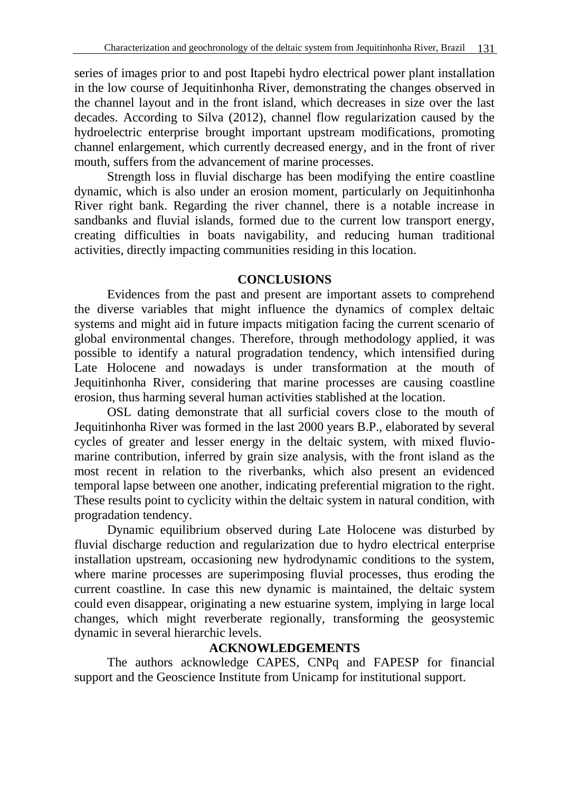series of images prior to and post Itapebi hydro electrical power plant installation in the low course of Jequitinhonha River, demonstrating the changes observed in the channel layout and in the front island, which decreases in size over the last decades. According to Silva (2012), channel flow regularization caused by the hydroelectric enterprise brought important upstream modifications, promoting channel enlargement, which currently decreased energy, and in the front of river mouth, suffers from the advancement of marine processes.

Strength loss in fluvial discharge has been modifying the entire coastline dynamic, which is also under an erosion moment, particularly on Jequitinhonha River right bank. Regarding the river channel, there is a notable increase in sandbanks and fluvial islands, formed due to the current low transport energy, creating difficulties in boats navigability, and reducing human traditional activities, directly impacting communities residing in this location.

### **CONCLUSIONS**

Evidences from the past and present are important assets to comprehend the diverse variables that might influence the dynamics of complex deltaic systems and might aid in future impacts mitigation facing the current scenario of global environmental changes. Therefore, through methodology applied, it was possible to identify a natural progradation tendency, which intensified during Late Holocene and nowadays is under transformation at the mouth of Jequitinhonha River, considering that marine processes are causing coastline erosion, thus harming several human activities stablished at the location.

OSL dating demonstrate that all surficial covers close to the mouth of Jequitinhonha River was formed in the last 2000 years B.P., elaborated by several cycles of greater and lesser energy in the deltaic system, with mixed fluviomarine contribution, inferred by grain size analysis, with the front island as the most recent in relation to the riverbanks, which also present an evidenced temporal lapse between one another, indicating preferential migration to the right. These results point to cyclicity within the deltaic system in natural condition, with progradation tendency.

Dynamic equilibrium observed during Late Holocene was disturbed by fluvial discharge reduction and regularization due to hydro electrical enterprise installation upstream, occasioning new hydrodynamic conditions to the system, where marine processes are superimposing fluvial processes, thus eroding the current coastline. In case this new dynamic is maintained, the deltaic system could even disappear, originating a new estuarine system, implying in large local changes, which might reverberate regionally, transforming the geosystemic dynamic in several hierarchic levels.

## **ACKNOWLEDGEMENTS**

The authors acknowledge CAPES, CNPq and FAPESP for financial support and the Geoscience Institute from Unicamp for institutional support.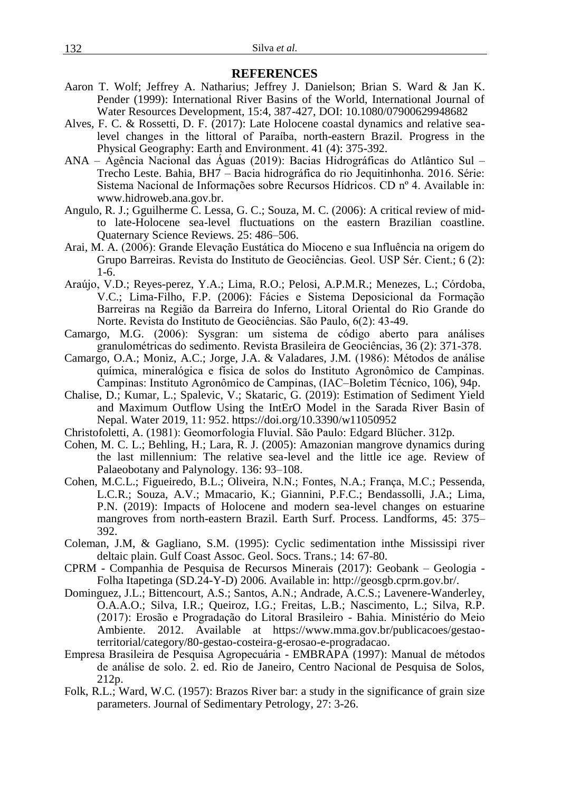#### **REFERENCES**

- Aaron T. Wolf; Jeffrey A. Natharius; Jeffrey J. Danielson; Brian S. Ward & Jan K. Pender (1999): International River Basins of the World, International Journal of Water Resources Development, 15:4, 387-427, DOI: 10.1080/07900629948682
- Alves, F. C. & Rossetti, D. F. (2017): Late Holocene coastal dynamics and relative sealevel changes in the littoral of Paraíba, north-eastern Brazil. Progress in the Physical Geography: Earth and Environment. [41 \(4\): 375-392.](https://journals.sagepub.com/toc/ppga/41/4)
- ANA Agência Nacional das Águas (2019): Bacias Hidrográficas do Atlântico Sul Trecho Leste. Bahia, BH7 – Bacia hidrográfica do rio Jequitinhonha. 2016. Série: Sistema Nacional de Informações sobre Recursos Hídricos. CD nº 4. Available in: www.hidroweb.ana.gov.br.
- Angulo, R. J.; Gguilherme C. Lessa, G. C.; Souza, M. C. (2006): A critical review of midto late-Holocene sea-level fluctuations on the eastern Brazilian coastline. Quaternary Science Reviews. 25: 486–506.
- Arai, M. A. (2006): Grande Elevação Eustática do Mioceno e sua Influência na origem do Grupo Barreiras. Revista do Instituto de Geociências. Geol. USP Sér. Cient.; 6 (2): 1-6.
- Araújo, V.D.; Reyes-perez, Y.A.; Lima, R.O.; Pelosi, A.P.M.R.; Menezes, L.; Córdoba, V.C.; Lima-Filho, F.P. (2006): Fácies e Sistema Deposicional da Formação Barreiras na Região da Barreira do Inferno, Litoral Oriental do Rio Grande do Norte. Revista do Instituto de Geociências. São Paulo, 6(2): 43-49.
- Camargo, M.G. (2006): Sysgran: um sistema de código aberto para análises granulométricas do sedimento. Revista Brasileira de Geociências, 36 (2): 371-378.
- Camargo, O.A.; Moniz, A.C.; Jorge, J.A. & Valadares, J.M. (1986): Métodos de análise química, mineralógica e física de solos do Instituto Agronômico de Campinas. Campinas: Instituto Agronômico de Campinas, (IAC–Boletim Técnico, 106), 94p.
- Chalise, D.; Kumar, L.; Spalevic, V.; Skataric, G. (2019): Estimation of Sediment Yield and Maximum Outflow Using the IntErO Model in the Sarada River Basin of Nepal. Water 2019, 11: 952. https://doi.org/10.3390/w11050952
- Christofoletti, A. (1981): Geomorfologia Fluvial. São Paulo: Edgard Blücher. 312p.
- Cohen, M. C. L.; Behling, H.; Lara, R. J. (2005): Amazonian mangrove dynamics during the last millennium: The relative sea-level and the little ice age. Review of Palaeobotany and Palynology. 136: 93–108.
- Cohen, M.C.L.; Figueiredo, B.L.; Oliveira, N.N.; Fontes, N.A.; França, M.C.; Pessenda, L.C.R.; Souza, A.V.; Mmacario, K.; Giannini, P.F.C.; Bendassolli, J.A.; Lima, P.N. (2019): Impacts of Holocene and modern sea-level changes on estuarine mangroves from north-eastern Brazil. Earth Surf. Process. Landforms, 45: 375– 392.
- Coleman, J.M, & Gagliano, S.M. (1995): Cyclic sedimentation inthe Mississipi river deltaic plain. Gulf Coast Assoc. Geol. Socs. Trans.; 14: 67-80.
- CPRM Companhia de Pesquisa de Recursos Minerais (2017): Geobank Geologia Folha Itapetinga (SD.24-Y-D) 2006. Available in: http://geosgb.cprm.gov.br/.
- Dominguez, J.L.; Bittencourt, A.S.; Santos, A.N.; Andrade, A.C.S.; Lavenere-Wanderley, O.A.A.O.; Silva, I.R.; Queiroz, I.G.; Freitas, L.B.; Nascimento, L.; Silva, R.P. (2017): Erosão e Progradação do Litoral Brasileiro - Bahia. Ministério do Meio Ambiente. 2012. Available at https://www.mma.gov.br/publicacoes/gestaoterritorial/category/80-gestao-costeira-g-erosao-e-progradacao.
- Empresa Brasileira de Pesquisa Agropecuária EMBRAPA (1997): Manual de métodos de análise de solo. 2. ed. Rio de Janeiro, Centro Nacional de Pesquisa de Solos, 212p.
- Folk, R.L.; Ward, W.C. (1957): Brazos River bar: a study in the significance of grain size parameters. Journal of Sedimentary Petrology, 27: 3-26.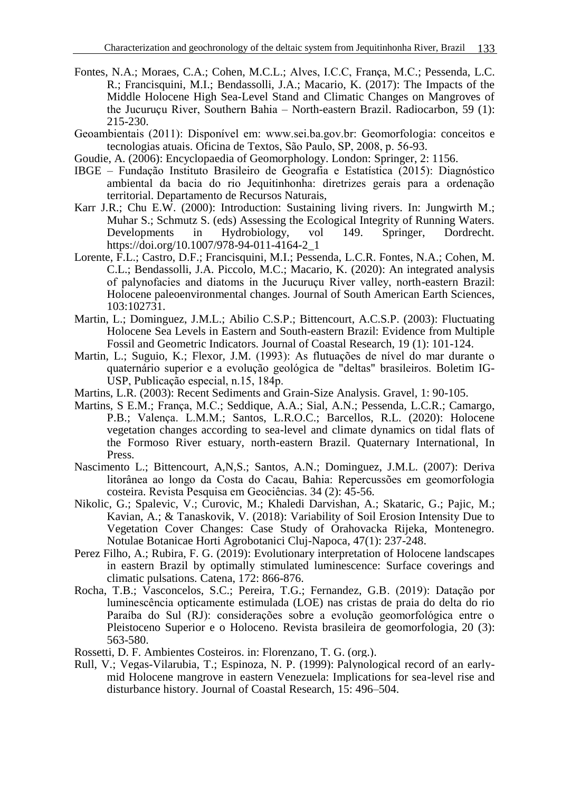- Fontes, N.A.; Moraes, C.A.; Cohen, M.C.L.; Alves, I.C.C, França, M.C.; Pessenda, L.C. R.; Francisquini, M.I.; Bendassolli, J.A.; Macario, K. (2017): The Impacts of the Middle Holocene High Sea-Level Stand and Climatic Changes on Mangroves of the Jucuruçu River, Southern Bahia – North-eastern Brazil. Radiocarbon, 59 (1): 215-230.
- Geoambientais (2011): Disponível em: www.sei.ba.gov.br: Geomorfologia: conceitos e tecnologias atuais. Oficina de Textos, São Paulo, SP, 2008, p. 56-93.
- Goudie, A. (2006): Encyclopaedia of Geomorphology. London: Springer, 2: 1156.
- IBGE Fundação Instituto Brasileiro de Geografia e Estatística (2015): Diagnóstico ambiental da bacia do rio Jequitinhonha: diretrizes gerais para a ordenação territorial. Departamento de Recursos Naturais,
- Karr J.R.; Chu E.W. (2000): Introduction: Sustaining living rivers. In: Jungwirth M.; Muhar S.; Schmutz S. (eds) Assessing the Ecological Integrity of Running Waters.<br>Developments in Hydrobiology. vol 149. Springer. Dordrecht. Developments in Hydrobiology, vol 149. Springer, Dordrecht. https://doi.org/10.1007/978-94-011-4164-2\_1
- Lorente, F.L.; Castro, D.F.; Francisquini, M.I.; Pessenda, L.C.R. Fontes, N.A.; Cohen, M. C.L.; Bendassolli, J.A. Piccolo, M.C.; Macario, K. (2020): An integrated analysis of palynofacies and diatoms in the Jucuruçu River valley, north-eastern Brazil: Holocene paleoenvironmental changes. Journal of South American Earth Sciences, 103:102731.
- Martin, L.; Dominguez, J.M.L.; Abilio C.S.P.; Bittencourt, A.C.S.P. (2003): Fluctuating Holocene Sea Levels in Eastern and South-eastern Brazil: Evidence from Multiple Fossil and Geometric Indicators. Journal of Coastal Research, 19 (1): 101-124.
- Martin, L.; Suguio, K.; Flexor, J.M. (1993): As flutuações de nível do mar durante o quaternário superior e a evolução geológica de "deltas" brasileiros. Boletim IG-USP, Publicação especial, n.15, 184p.
- Martins, L.R. (2003): Recent Sediments and Grain-Size Analysis. Gravel, 1: 90-105.
- Martins, S E.M.; França, M.C.; Seddique, A.A.; Sial, A.N.; Pessenda, L.C.R.; Camargo, P.B.; Valença. L.M.M.; Santos, L.R.O.C.; Barcellos, R.L. (2020): Holocene vegetation changes according to sea-level and climate dynamics on tidal flats of the Formoso River estuary, north-eastern Brazil. Quaternary International, In Press.
- Nascimento L.; Bittencourt, A,N,S.; Santos, A.N.; Dominguez, J.M.L. (2007): Deriva litorânea ao longo da Costa do Cacau, Bahia: Repercussões em geomorfologia costeira. Revista Pesquisa em Geociências. 34 (2): 45-56.
- Nikolic, G.; Spalevic, V.; Curovic, M.; Khaledi Darvishan, A.; Skataric, G.; Pajic, M.; Kavian, A.; & Tanaskovik, V. (2018): Variability of Soil Erosion Intensity Due to Vegetation Cover Changes: Case Study of Orahovacka Rijeka, Montenegro. Notulae Botanicae Horti Agrobotanici Cluj-Napoca, 47(1): 237-248.
- Perez Filho, A.; Rubira, F. G. (2019): Evolutionary interpretation of Holocene landscapes in eastern Brazil by optimally stimulated luminescence: Surface coverings and climatic pulsations. Catena, 172: 866-876.
- Rocha, T.B.; Vasconcelos, S.C.; Pereira, T.G.; Fernandez, G.B. (2019): Datação por luminescência opticamente estimulada (LOE) nas cristas de praia do delta do rio Paraíba do Sul (RJ): considerações sobre a evolução geomorfológica entre o Pleistoceno Superior e o Holoceno. Revista brasileira de geomorfologia, 20 (3): 563-580.
- Rossetti, D. F. Ambientes Costeiros. in: Florenzano, T. G. (org.).
- Rull, V.; Vegas-Vilarubia, T.; Espinoza, N. P. (1999): Palynological record of an earlymid Holocene mangrove in eastern Venezuela: Implications for sea-level rise and disturbance history. Journal of Coastal Research, 15: 496–504.